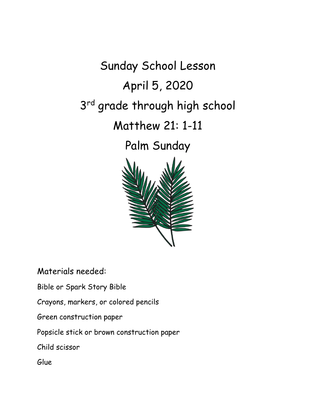Sunday School Lesson April 5, 2020 3<sup>rd</sup> grade through high school Matthew 21: 1-11 Palm Sunday

Materials needed:

Bible or Spark Story Bible

Crayons, markers, or colored pencils

Green construction paper

Popsicle stick or brown construction paper

Child scissor

Glue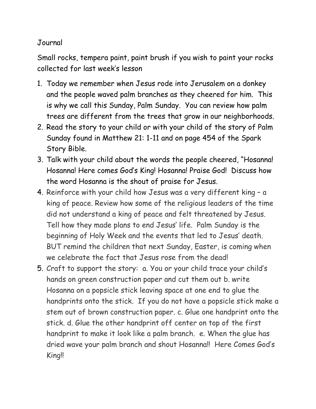## Journal

Small rocks, tempera paint, paint brush if you wish to paint your rocks collected for last week's lesson

- 1. Today we remember when Jesus rode into Jerusalem on a donkey and the people waved palm branches as they cheered for him. This is why we call this Sunday, Palm Sunday. You can review how palm trees are different from the trees that grow in our neighborhoods.
- 2. Read the story to your child or with your child of the story of Palm Sunday found in Matthew 21: 1-11 and on page 454 of the Spark Story Bible.
- 3. Talk with your child about the words the people cheered, "Hosanna! Hosanna! Here comes God's King! Hosanna! Praise God! Discuss how the word Hosanna is the shout of praise for Jesus.
- 4. Reinforce with your child how Jesus was a very different king a king of peace. Review how some of the religious leaders of the time did not understand a king of peace and felt threatened by Jesus. Tell how they made plans to end Jesus' life. Palm Sunday is the beginning of Holy Week and the events that led to Jesus' death. BUT remind the children that next Sunday, Easter, is coming when we celebrate the fact that Jesus rose from the dead!
- 5. Craft to support the story: a. You or your child trace your child's hands on green construction paper and cut them out b. write Hosanna on a popsicle stick leaving space at one end to glue the handprints onto the stick. If you do not have a popsicle stick make a stem out of brown construction paper. c. Glue one handprint onto the stick. d. Glue the other handprint off center on top of the first handprint to make it look like a palm branch. e. When the glue has dried wave your palm branch and shout Hosanna!! Here Comes God's King!!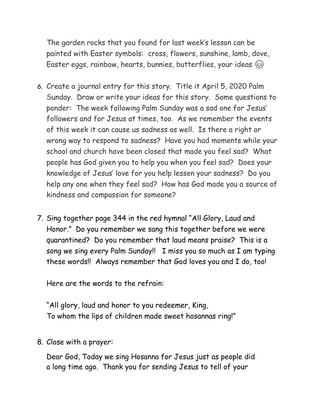The garden rocks that you found for last week's lesson can be painted with Easter symbols: cross, flowers, sunshine, lamb, dove, Easter eggs, rainbow, hearts, bunnies, butterflies, your ideas  $\circled$ 

- *6.* Create a journal entry for this story. Title it April 5, 2020 Palm Sunday. Draw or write your ideas for this story. Some questions to ponder: The week following Palm Sunday was a sad one for Jesus' followers and for Jesus at times, too. As we remember the events of this week it can cause us sadness as well. Is there a right or wrong way to respond to sadness? Have you had moments while your school and church have been closed that made you feel sad? What people has God given you to help you when you feel sad? Does your knowledge of Jesus' love for you help lessen your sadness? Do you help any one when they feel sad? How has God made you a source of kindness and compassion for someone?
- 7. Sing together page 344 in the red hymnal "All Glory, Laud and Honor." Do you remember we sang this together before we were quarantined? Do you remember that laud means praise? This is a song we sing every Palm Sunday!! I miss you so much as I am typing these words!! Always remember that God loves you and I do, too!

Here are the words to the refrain:

"All glory, laud and honor to you redeemer, King, To whom the lips of children made sweet hosannas ring!"

8. Close with a prayer:

Dear God, Today we sing Hosanna for Jesus just as people did a long time ago. Thank you for sending Jesus to tell of your